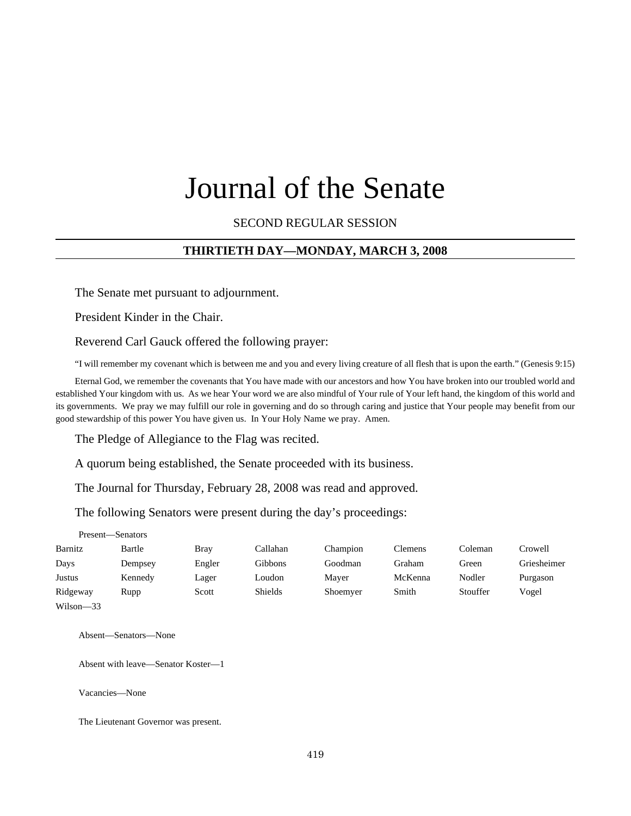# Journal of the Senate

SECOND REGULAR SESSION

#### **THIRTIETH DAY—MONDAY, MARCH 3, 2008**

The Senate met pursuant to adjournment.

President Kinder in the Chair.

Reverend Carl Gauck offered the following prayer:

"I will remember my covenant which is between me and you and every living creature of all flesh that is upon the earth." (Genesis 9:15)

Eternal God, we remember the covenants that You have made with our ancestors and how You have broken into our troubled world and established Your kingdom with us. As we hear Your word we are also mindful of Your rule of Your left hand, the kingdom of this world and its governments. We pray we may fulfill our role in governing and do so through caring and justice that Your people may benefit from our good stewardship of this power You have given us. In Your Holy Name we pray. Amen.

The Pledge of Allegiance to the Flag was recited.

A quorum being established, the Senate proceeded with its business.

The Journal for Thursday, February 28, 2008 was read and approved.

The following Senators were present during the day's proceedings:

| Present-Senators |         |        |          |          |         |          |             |
|------------------|---------|--------|----------|----------|---------|----------|-------------|
| Barnitz          | Bartle  | Bray   | Callahan | Champion | Clemens | Coleman  | Crowell     |
| Days             | Dempsey | Engler | Gibbons  | Goodman  | Graham  | Green    | Griesheimer |
| Justus           | Kennedy | Lager  | Loudon   | Mayer    | McKenna | Nodler   | Purgason    |
| Ridgeway         | Rupp    | Scott  | Shields  | Shoemyer | Smith   | Stouffer | Vogel       |
| $Wilson - 33$    |         |        |          |          |         |          |             |

Absent—Senators—None

Absent with leave—Senator Koster—1

Vacancies—None

The Lieutenant Governor was present.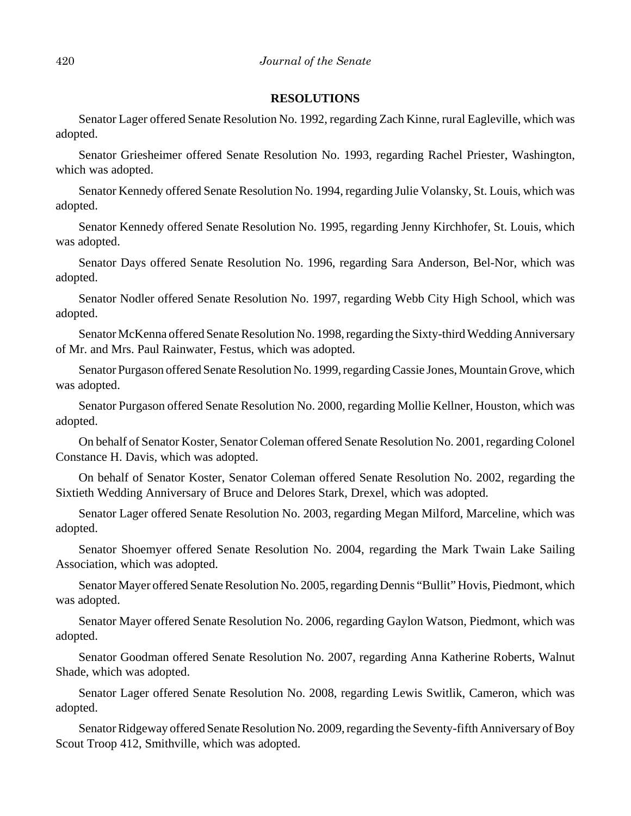#### **RESOLUTIONS**

Senator Lager offered Senate Resolution No. 1992, regarding Zach Kinne, rural Eagleville, which was adopted.

Senator Griesheimer offered Senate Resolution No. 1993, regarding Rachel Priester, Washington, which was adopted.

Senator Kennedy offered Senate Resolution No. 1994, regarding Julie Volansky, St. Louis, which was adopted.

Senator Kennedy offered Senate Resolution No. 1995, regarding Jenny Kirchhofer, St. Louis, which was adopted.

Senator Days offered Senate Resolution No. 1996, regarding Sara Anderson, Bel-Nor, which was adopted.

Senator Nodler offered Senate Resolution No. 1997, regarding Webb City High School, which was adopted.

Senator McKenna offered Senate Resolution No. 1998, regarding the Sixty-third Wedding Anniversary of Mr. and Mrs. Paul Rainwater, Festus, which was adopted.

Senator Purgason offered Senate Resolution No. 1999, regarding Cassie Jones, Mountain Grove, which was adopted.

Senator Purgason offered Senate Resolution No. 2000, regarding Mollie Kellner, Houston, which was adopted.

On behalf of Senator Koster, Senator Coleman offered Senate Resolution No. 2001, regarding Colonel Constance H. Davis, which was adopted.

On behalf of Senator Koster, Senator Coleman offered Senate Resolution No. 2002, regarding the Sixtieth Wedding Anniversary of Bruce and Delores Stark, Drexel, which was adopted.

Senator Lager offered Senate Resolution No. 2003, regarding Megan Milford, Marceline, which was adopted.

Senator Shoemyer offered Senate Resolution No. 2004, regarding the Mark Twain Lake Sailing Association, which was adopted.

Senator Mayer offered Senate Resolution No. 2005, regarding Dennis "Bullit" Hovis, Piedmont, which was adopted.

Senator Mayer offered Senate Resolution No. 2006, regarding Gaylon Watson, Piedmont, which was adopted.

Senator Goodman offered Senate Resolution No. 2007, regarding Anna Katherine Roberts, Walnut Shade, which was adopted.

Senator Lager offered Senate Resolution No. 2008, regarding Lewis Switlik, Cameron, which was adopted.

Senator Ridgeway offered Senate Resolution No. 2009, regarding the Seventy-fifth Anniversary of Boy Scout Troop 412, Smithville, which was adopted.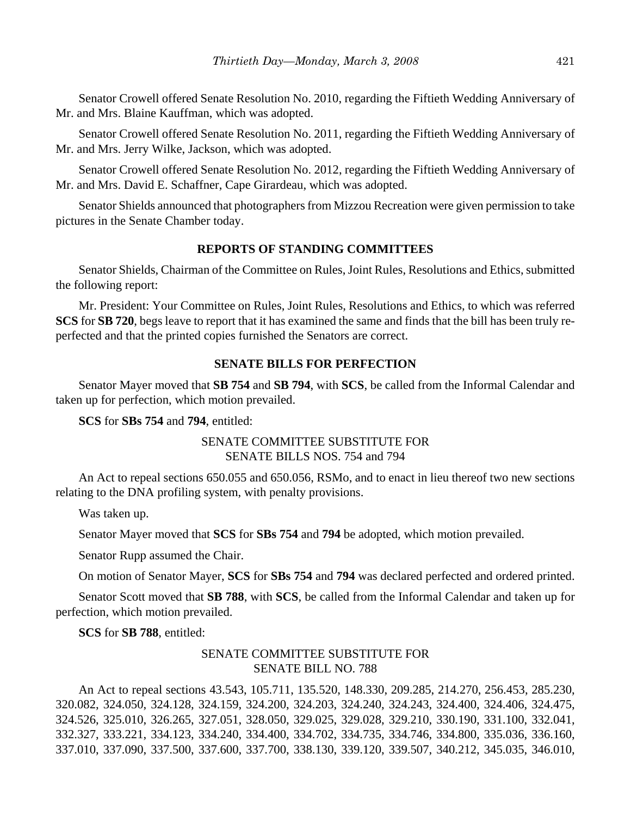Senator Crowell offered Senate Resolution No. 2010, regarding the Fiftieth Wedding Anniversary of Mr. and Mrs. Blaine Kauffman, which was adopted.

Senator Crowell offered Senate Resolution No. 2011, regarding the Fiftieth Wedding Anniversary of Mr. and Mrs. Jerry Wilke, Jackson, which was adopted.

Senator Crowell offered Senate Resolution No. 2012, regarding the Fiftieth Wedding Anniversary of Mr. and Mrs. David E. Schaffner, Cape Girardeau, which was adopted.

Senator Shields announced that photographers from Mizzou Recreation were given permission to take pictures in the Senate Chamber today.

## **REPORTS OF STANDING COMMITTEES**

Senator Shields, Chairman of the Committee on Rules, Joint Rules, Resolutions and Ethics, submitted the following report:

Mr. President: Your Committee on Rules, Joint Rules, Resolutions and Ethics, to which was referred **SCS** for **SB 720**, begs leave to report that it has examined the same and finds that the bill has been truly reperfected and that the printed copies furnished the Senators are correct.

#### **SENATE BILLS FOR PERFECTION**

Senator Mayer moved that **SB 754** and **SB 794**, with **SCS**, be called from the Informal Calendar and taken up for perfection, which motion prevailed.

**SCS** for **SBs 754** and **794**, entitled:

## SENATE COMMITTEE SUBSTITUTE FOR SENATE BILLS NOS. 754 and 794

An Act to repeal sections 650.055 and 650.056, RSMo, and to enact in lieu thereof two new sections relating to the DNA profiling system, with penalty provisions.

Was taken up.

Senator Mayer moved that **SCS** for **SBs 754** and **794** be adopted, which motion prevailed.

Senator Rupp assumed the Chair.

On motion of Senator Mayer, **SCS** for **SBs 754** and **794** was declared perfected and ordered printed.

Senator Scott moved that **SB 788**, with **SCS**, be called from the Informal Calendar and taken up for perfection, which motion prevailed.

**SCS** for **SB 788**, entitled:

## SENATE COMMITTEE SUBSTITUTE FOR SENATE BILL NO. 788

An Act to repeal sections 43.543, 105.711, 135.520, 148.330, 209.285, 214.270, 256.453, 285.230, 320.082, 324.050, 324.128, 324.159, 324.200, 324.203, 324.240, 324.243, 324.400, 324.406, 324.475, 324.526, 325.010, 326.265, 327.051, 328.050, 329.025, 329.028, 329.210, 330.190, 331.100, 332.041, 332.327, 333.221, 334.123, 334.240, 334.400, 334.702, 334.735, 334.746, 334.800, 335.036, 336.160, 337.010, 337.090, 337.500, 337.600, 337.700, 338.130, 339.120, 339.507, 340.212, 345.035, 346.010,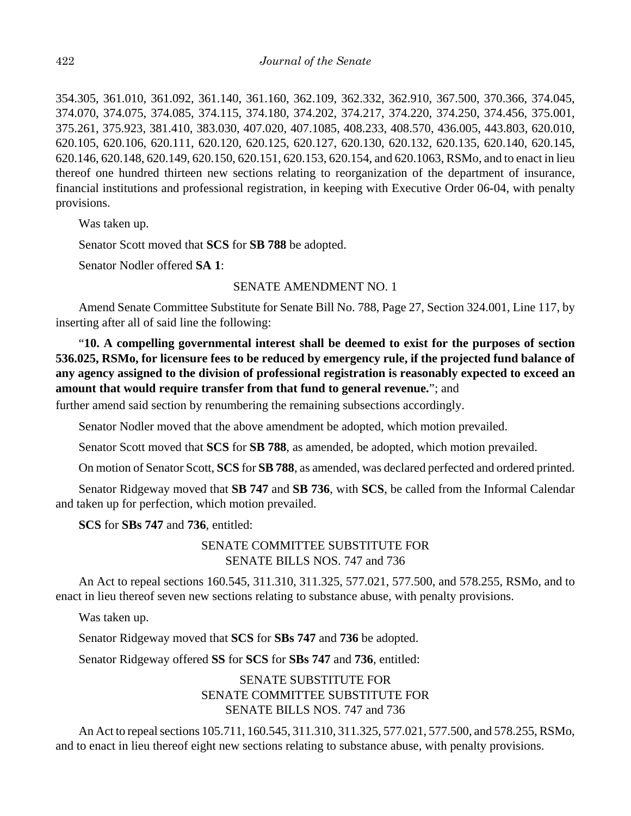354.305, 361.010, 361.092, 361.140, 361.160, 362.109, 362.332, 362.910, 367.500, 370.366, 374.045, 374.070, 374.075, 374.085, 374.115, 374.180, 374.202, 374.217, 374.220, 374.250, 374.456, 375.001, 375.261, 375.923, 381.410, 383.030, 407.020, 407.1085, 408.233, 408.570, 436.005, 443.803, 620.010, 620.105, 620.106, 620.111, 620.120, 620.125, 620.127, 620.130, 620.132, 620.135, 620.140, 620.145, 620.146, 620.148, 620.149, 620.150, 620.151, 620.153, 620.154, and 620.1063, RSMo, and to enact in lieu thereof one hundred thirteen new sections relating to reorganization of the department of insurance, financial institutions and professional registration, in keeping with Executive Order 06-04, with penalty provisions.

Was taken up.

Senator Scott moved that **SCS** for **SB 788** be adopted.

Senator Nodler offered **SA 1**:

#### SENATE AMENDMENT NO. 1

Amend Senate Committee Substitute for Senate Bill No. 788, Page 27, Section 324.001, Line 117, by inserting after all of said line the following:

"**10. A compelling governmental interest shall be deemed to exist for the purposes of section 536.025, RSMo, for licensure fees to be reduced by emergency rule, if the projected fund balance of any agency assigned to the division of professional registration is reasonably expected to exceed an amount that would require transfer from that fund to general revenue.**"; and

further amend said section by renumbering the remaining subsections accordingly.

Senator Nodler moved that the above amendment be adopted, which motion prevailed.

Senator Scott moved that **SCS** for **SB 788**, as amended, be adopted, which motion prevailed.

On motion of Senator Scott, **SCS** for **SB 788**, as amended, was declared perfected and ordered printed.

Senator Ridgeway moved that **SB 747** and **SB 736**, with **SCS**, be called from the Informal Calendar and taken up for perfection, which motion prevailed.

**SCS** for **SBs 747** and **736**, entitled:

## SENATE COMMITTEE SUBSTITUTE FOR SENATE BILLS NOS. 747 and 736

An Act to repeal sections 160.545, 311.310, 311.325, 577.021, 577.500, and 578.255, RSMo, and to enact in lieu thereof seven new sections relating to substance abuse, with penalty provisions.

Was taken up.

Senator Ridgeway moved that **SCS** for **SBs 747** and **736** be adopted.

Senator Ridgeway offered **SS** for **SCS** for **SBs 747** and **736**, entitled:

## SENATE SUBSTITUTE FOR SENATE COMMITTEE SUBSTITUTE FOR SENATE BILLS NOS. 747 and 736

An Act to repeal sections 105.711, 160.545, 311.310, 311.325, 577.021, 577.500, and 578.255, RSMo, and to enact in lieu thereof eight new sections relating to substance abuse, with penalty provisions.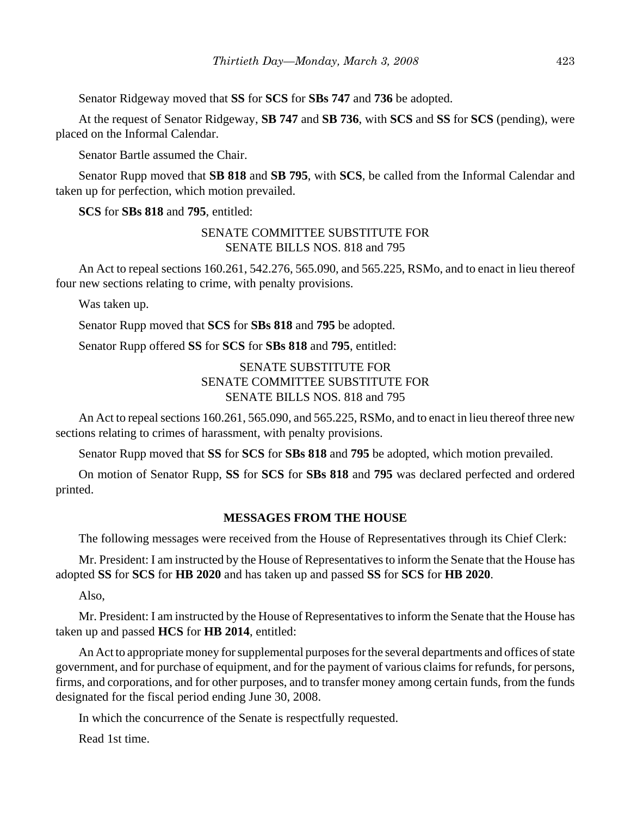Senator Ridgeway moved that **SS** for **SCS** for **SBs 747** and **736** be adopted.

At the request of Senator Ridgeway, **SB 747** and **SB 736**, with **SCS** and **SS** for **SCS** (pending), were placed on the Informal Calendar.

Senator Bartle assumed the Chair.

Senator Rupp moved that **SB 818** and **SB 795**, with **SCS**, be called from the Informal Calendar and taken up for perfection, which motion prevailed.

**SCS** for **SBs 818** and **795**, entitled:

## SENATE COMMITTEE SUBSTITUTE FOR SENATE BILLS NOS. 818 and 795

An Act to repeal sections 160.261, 542.276, 565.090, and 565.225, RSMo, and to enact in lieu thereof four new sections relating to crime, with penalty provisions.

Was taken up.

Senator Rupp moved that **SCS** for **SBs 818** and **795** be adopted.

Senator Rupp offered **SS** for **SCS** for **SBs 818** and **795**, entitled:

## SENATE SUBSTITUTE FOR SENATE COMMITTEE SUBSTITUTE FOR SENATE BILLS NOS. 818 and 795

An Act to repeal sections 160.261, 565.090, and 565.225, RSMo, and to enact in lieu thereof three new sections relating to crimes of harassment, with penalty provisions.

Senator Rupp moved that **SS** for **SCS** for **SBs 818** and **795** be adopted, which motion prevailed.

On motion of Senator Rupp, **SS** for **SCS** for **SBs 818** and **795** was declared perfected and ordered printed.

#### **MESSAGES FROM THE HOUSE**

The following messages were received from the House of Representatives through its Chief Clerk:

Mr. President: I am instructed by the House of Representatives to inform the Senate that the House has adopted **SS** for **SCS** for **HB 2020** and has taken up and passed **SS** for **SCS** for **HB 2020**.

Also,

Mr. President: I am instructed by the House of Representatives to inform the Senate that the House has taken up and passed **HCS** for **HB 2014**, entitled:

An Act to appropriate money for supplemental purposes for the several departments and offices of state government, and for purchase of equipment, and for the payment of various claims for refunds, for persons, firms, and corporations, and for other purposes, and to transfer money among certain funds, from the funds designated for the fiscal period ending June 30, 2008.

In which the concurrence of the Senate is respectfully requested.

Read 1st time.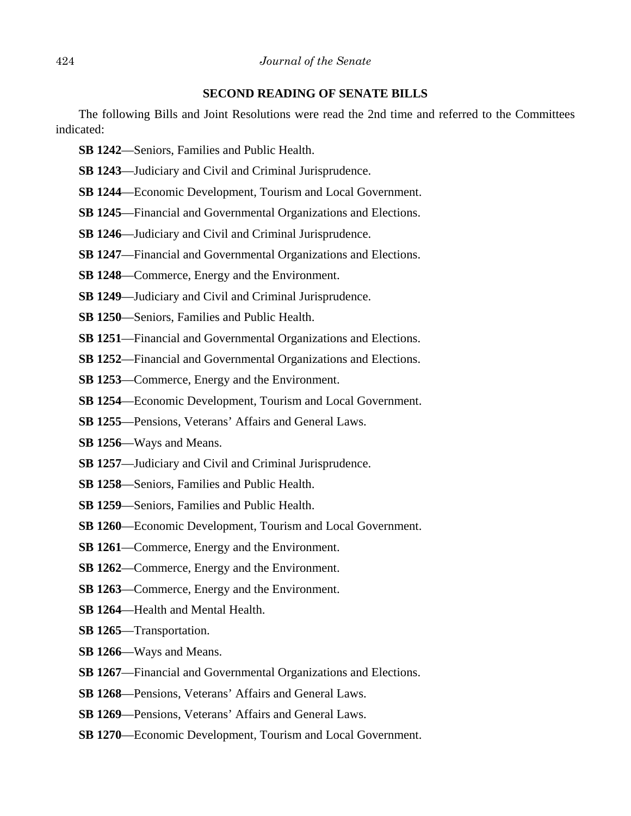#### **SECOND READING OF SENATE BILLS**

The following Bills and Joint Resolutions were read the 2nd time and referred to the Committees indicated:

- **SB 1242**—Seniors, Families and Public Health.
- **SB 1243**—Judiciary and Civil and Criminal Jurisprudence.
- **SB 1244**—Economic Development, Tourism and Local Government.
- **SB 1245**—Financial and Governmental Organizations and Elections.
- **SB 1246**—Judiciary and Civil and Criminal Jurisprudence.
- **SB 1247**—Financial and Governmental Organizations and Elections.
- **SB 1248**—Commerce, Energy and the Environment.
- **SB 1249**—Judiciary and Civil and Criminal Jurisprudence.
- **SB 1250**—Seniors, Families and Public Health.
- **SB 1251**—Financial and Governmental Organizations and Elections.
- **SB 1252**—Financial and Governmental Organizations and Elections.
- **SB 1253**—Commerce, Energy and the Environment.
- **SB 1254**—Economic Development, Tourism and Local Government.
- **SB 1255**—Pensions, Veterans' Affairs and General Laws.
- **SB 1256**—Ways and Means.
- **SB 1257**—Judiciary and Civil and Criminal Jurisprudence.
- **SB 1258**—Seniors, Families and Public Health.
- **SB 1259**—Seniors, Families and Public Health.
- **SB 1260**—Economic Development, Tourism and Local Government.
- **SB 1261**—Commerce, Energy and the Environment.
- **SB 1262**—Commerce, Energy and the Environment.
- **SB 1263**—Commerce, Energy and the Environment.
- **SB 1264**—Health and Mental Health.
- **SB 1265**—Transportation.
- **SB 1266**—Ways and Means.
- **SB 1267**—Financial and Governmental Organizations and Elections.
- **SB 1268**—Pensions, Veterans' Affairs and General Laws.
- **SB 1269**—Pensions, Veterans' Affairs and General Laws.
- **SB 1270**—Economic Development, Tourism and Local Government.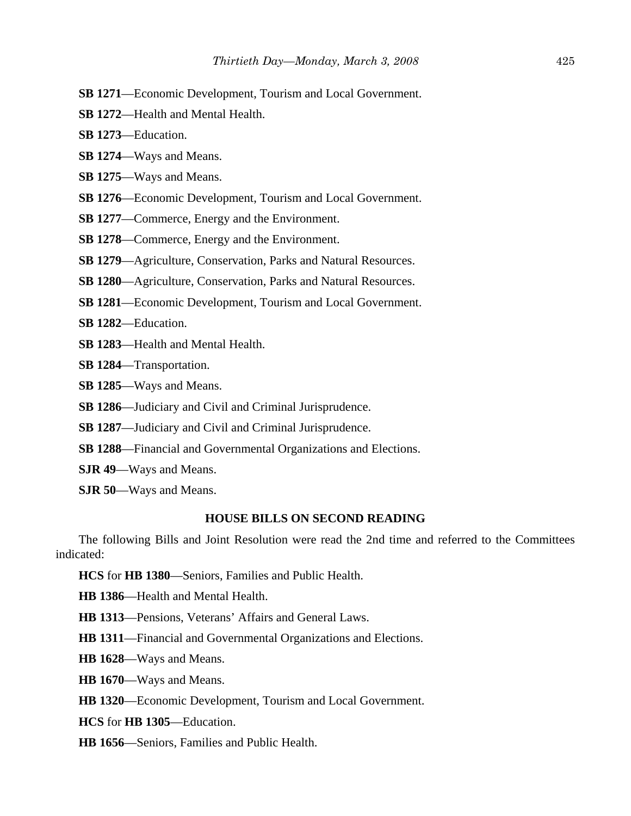- **SB 1271**—Economic Development, Tourism and Local Government.
- **SB 1272**—Health and Mental Health.
- **SB 1273**—Education.
- **SB 1274**—Ways and Means.
- **SB 1275**—Ways and Means.
- **SB 1276**—Economic Development, Tourism and Local Government.
- **SB 1277**—Commerce, Energy and the Environment.
- **SB 1278**—Commerce, Energy and the Environment.
- **SB 1279**—Agriculture, Conservation, Parks and Natural Resources.
- **SB 1280**—Agriculture, Conservation, Parks and Natural Resources.
- **SB 1281**—Economic Development, Tourism and Local Government.
- **SB 1282**—Education.
- **SB 1283**—Health and Mental Health.
- **SB 1284**—Transportation.
- **SB 1285**—Ways and Means.
- **SB 1286**—Judiciary and Civil and Criminal Jurisprudence.
- **SB 1287**—Judiciary and Civil and Criminal Jurisprudence.
- **SB 1288**—Financial and Governmental Organizations and Elections.
- **SJR 49**—Ways and Means.
- **SJR 50**—Ways and Means.

#### **HOUSE BILLS ON SECOND READING**

The following Bills and Joint Resolution were read the 2nd time and referred to the Committees indicated:

**HCS** for **HB 1380**—Seniors, Families and Public Health.

**HB 1386**—Health and Mental Health.

**HB 1313**—Pensions, Veterans' Affairs and General Laws.

**HB 1311**—Financial and Governmental Organizations and Elections.

**HB 1628**—Ways and Means.

**HB 1670**—Ways and Means.

**HB 1320**—Economic Development, Tourism and Local Government.

**HCS** for **HB 1305**—Education.

**HB 1656**—Seniors, Families and Public Health.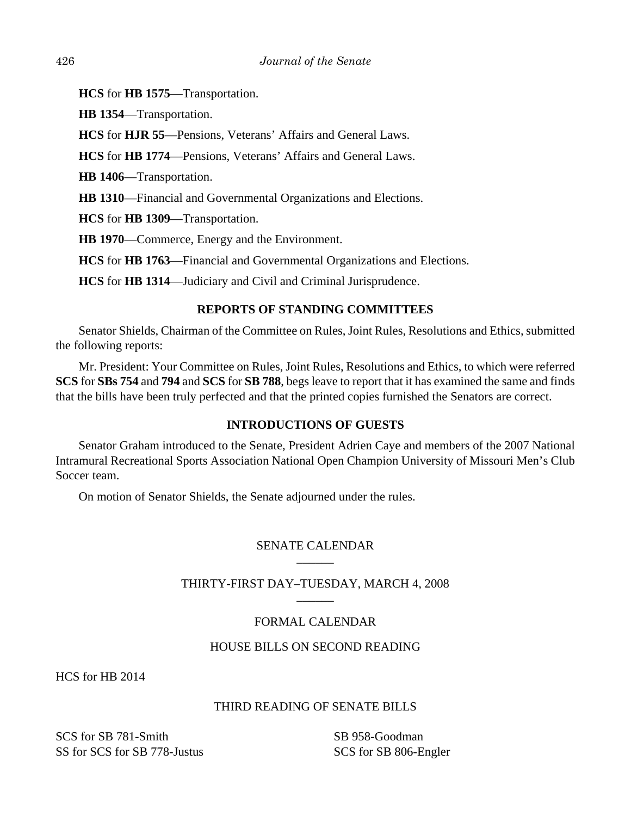**HCS** for **HB 1575**—Transportation.

**HB 1354**—Transportation.

**HCS** for **HJR 55**—Pensions, Veterans' Affairs and General Laws.

**HCS** for **HB 1774**—Pensions, Veterans' Affairs and General Laws.

**HB 1406**—Transportation.

**HB 1310**—Financial and Governmental Organizations and Elections.

**HCS** for **HB 1309**—Transportation.

**HB 1970**—Commerce, Energy and the Environment.

**HCS** for **HB 1763**—Financial and Governmental Organizations and Elections.

**HCS** for **HB 1314**—Judiciary and Civil and Criminal Jurisprudence.

## **REPORTS OF STANDING COMMITTEES**

Senator Shields, Chairman of the Committee on Rules, Joint Rules, Resolutions and Ethics, submitted the following reports:

Mr. President: Your Committee on Rules, Joint Rules, Resolutions and Ethics, to which were referred **SCS** for **SBs 754** and **794** and **SCS** for **SB 788**, begs leave to report that it has examined the same and finds that the bills have been truly perfected and that the printed copies furnished the Senators are correct.

## **INTRODUCTIONS OF GUESTS**

Senator Graham introduced to the Senate, President Adrien Caye and members of the 2007 National Intramural Recreational Sports Association National Open Champion University of Missouri Men's Club Soccer team.

On motion of Senator Shields, the Senate adjourned under the rules.

## SENATE CALENDAR  $\overline{\phantom{a}}$

## THIRTY-FIRST DAY–TUESDAY, MARCH 4, 2008  $\overline{\phantom{a}}$

# FORMAL CALENDAR

## HOUSE BILLS ON SECOND READING

HCS for HB 2014

## THIRD READING OF SENATE BILLS

SCS for SB 781-Smith SS for SCS for SB 778-Justus

SB 958-Goodman SCS for SB 806-Engler